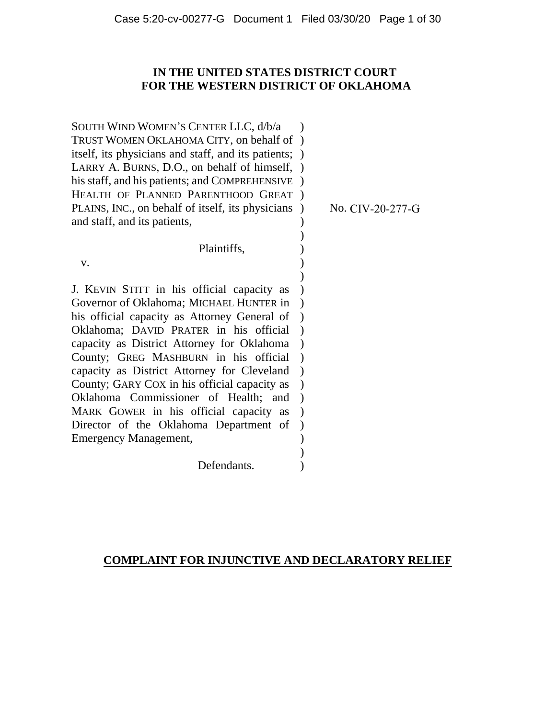# **IN THE UNITED STATES DISTRICT COURT FOR THE WESTERN DISTRICT OF OKLAHOMA**

) )  $\lambda$ 

) )

SOUTH WIND WOMEN'S CENTER LLC, d/b/a TRUST WOMEN OKLAHOMA CITY, on behalf of ) itself, its physicians and staff, and its patients; ) LARRY A. BURNS, D.O., on behalf of himself, ) his staff, and his patients; and COMPREHENSIVE ) HEALTH OF PLANNED PARENTHOOD GREAT ) PLAINS, INC., on behalf of itself, its physicians ) and staff, and its patients,  $\lambda$ ) )

Plaintiffs,

v.

J. KEVIN STITT in his official capacity as Governor of Oklahoma; MICHAEL HUNTER in his official capacity as Attorney General of Oklahoma; DAVID PRATER in his official ) capacity as District Attorney for Oklahoma ) County; GREG MASHBURN in his official ) capacity as District Attorney for Cleveland ) County; GARY COX in his official capacity as ) Oklahoma Commissioner of Health; and ) MARK GOWER in his official capacity as Director of the Oklahoma Department of Emergency Management,  $\lambda$  $\lambda$ ) ) ) )

Defendants.

No. CIV-20-277-G

# **COMPLAINT FOR INJUNCTIVE AND DECLARATORY RELIEF**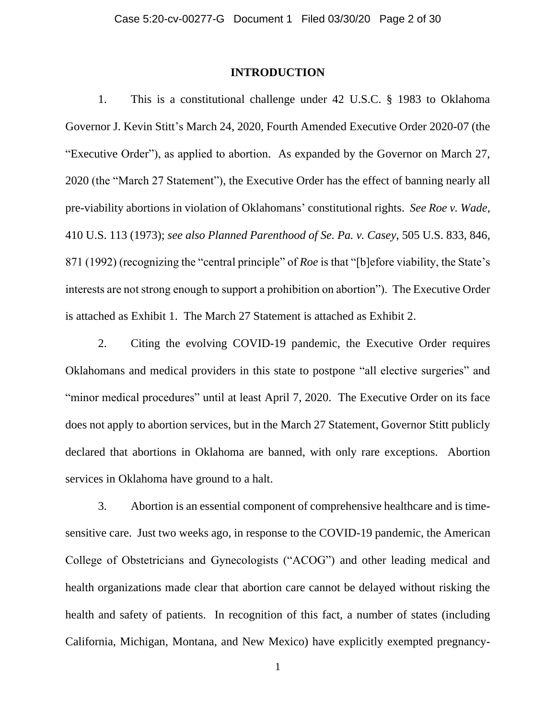### **INTRODUCTION**

1. This is a constitutional challenge under 42 U.S.C. § 1983 to Oklahoma Governor J. Kevin Stitt's March 24, 2020, Fourth Amended Executive Order 2020-07 (the "Executive Order"), as applied to abortion. As expanded by the Governor on March 27, 2020 (the "March 27 Statement"), the Executive Order has the effect of banning nearly all pre-viability abortions in violation of Oklahomans' constitutional rights. *See Roe v. Wade*, 410 U.S. 113 (1973); *see also Planned Parenthood of Se. Pa. v. Casey*, 505 U.S. 833, 846, 871 (1992) (recognizing the "central principle" of *Roe* is that "[b]efore viability, the State's interests are not strong enough to support a prohibition on abortion"). The Executive Order is attached as Exhibit 1. The March 27 Statement is attached as Exhibit 2.

2. Citing the evolving COVID-19 pandemic, the Executive Order requires Oklahomans and medical providers in this state to postpone "all elective surgeries" and "minor medical procedures" until at least April 7, 2020. The Executive Order on its face does not apply to abortion services, but in the March 27 Statement, Governor Stitt publicly declared that abortions in Oklahoma are banned, with only rare exceptions. Abortion services in Oklahoma have ground to a halt.

3. Abortion is an essential component of comprehensive healthcare and is timesensitive care. Just two weeks ago, in response to the COVID-19 pandemic, the American College of Obstetricians and Gynecologists ("ACOG") and other leading medical and health organizations made clear that abortion care cannot be delayed without risking the health and safety of patients. In recognition of this fact, a number of states (including California, Michigan, Montana, and New Mexico) have explicitly exempted pregnancy-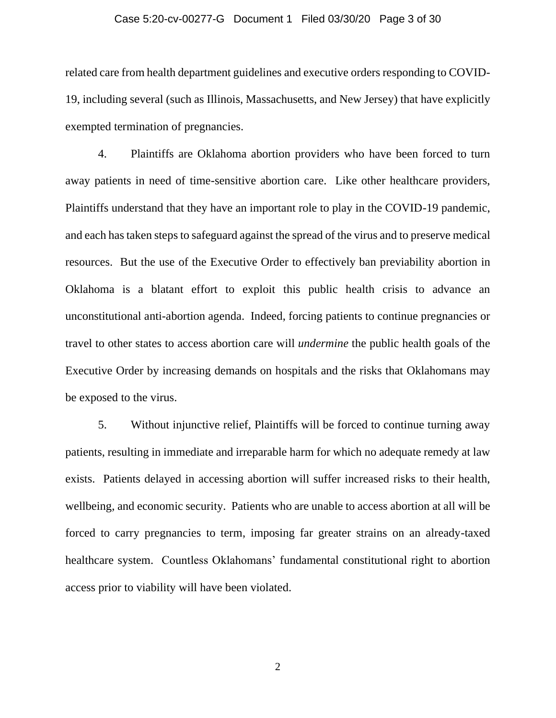#### Case 5:20-cv-00277-G Document 1 Filed 03/30/20 Page 3 of 30

related care from health department guidelines and executive orders responding to COVID-19, including several (such as Illinois, Massachusetts, and New Jersey) that have explicitly exempted termination of pregnancies.

4. Plaintiffs are Oklahoma abortion providers who have been forced to turn away patients in need of time-sensitive abortion care. Like other healthcare providers, Plaintiffs understand that they have an important role to play in the COVID-19 pandemic, and each hastaken steps to safeguard against the spread of the virus and to preserve medical resources. But the use of the Executive Order to effectively ban previability abortion in Oklahoma is a blatant effort to exploit this public health crisis to advance an unconstitutional anti-abortion agenda. Indeed, forcing patients to continue pregnancies or travel to other states to access abortion care will *undermine* the public health goals of the Executive Order by increasing demands on hospitals and the risks that Oklahomans may be exposed to the virus.

5. Without injunctive relief, Plaintiffs will be forced to continue turning away patients, resulting in immediate and irreparable harm for which no adequate remedy at law exists. Patients delayed in accessing abortion will suffer increased risks to their health, wellbeing, and economic security. Patients who are unable to access abortion at all will be forced to carry pregnancies to term, imposing far greater strains on an already-taxed healthcare system. Countless Oklahomans' fundamental constitutional right to abortion access prior to viability will have been violated.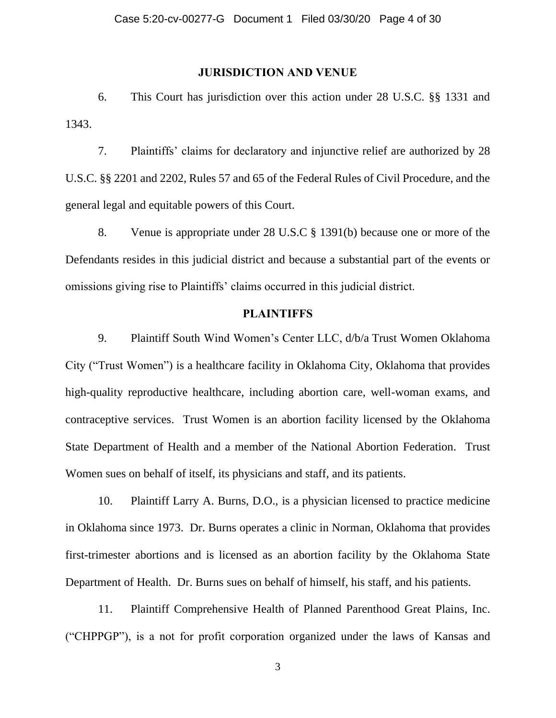# **JURISDICTION AND VENUE**

6. This Court has jurisdiction over this action under 28 U.S.C. §§ 1331 and 1343.

7. Plaintiffs' claims for declaratory and injunctive relief are authorized by 28 U.S.C. §§ 2201 and 2202, Rules 57 and 65 of the Federal Rules of Civil Procedure, and the general legal and equitable powers of this Court.

8. Venue is appropriate under 28 U.S.C § 1391(b) because one or more of the Defendants resides in this judicial district and because a substantial part of the events or omissions giving rise to Plaintiffs' claims occurred in this judicial district.

# **PLAINTIFFS**

9. Plaintiff South Wind Women's Center LLC, d/b/a Trust Women Oklahoma City ("Trust Women") is a healthcare facility in Oklahoma City, Oklahoma that provides high-quality reproductive healthcare, including abortion care, well-woman exams, and contraceptive services. Trust Women is an abortion facility licensed by the Oklahoma State Department of Health and a member of the National Abortion Federation. Trust Women sues on behalf of itself, its physicians and staff, and its patients.

10. Plaintiff Larry A. Burns, D.O., is a physician licensed to practice medicine in Oklahoma since 1973. Dr. Burns operates a clinic in Norman, Oklahoma that provides first-trimester abortions and is licensed as an abortion facility by the Oklahoma State Department of Health. Dr. Burns sues on behalf of himself, his staff, and his patients.

11. Plaintiff Comprehensive Health of Planned Parenthood Great Plains, Inc. ("CHPPGP"), is a not for profit corporation organized under the laws of Kansas and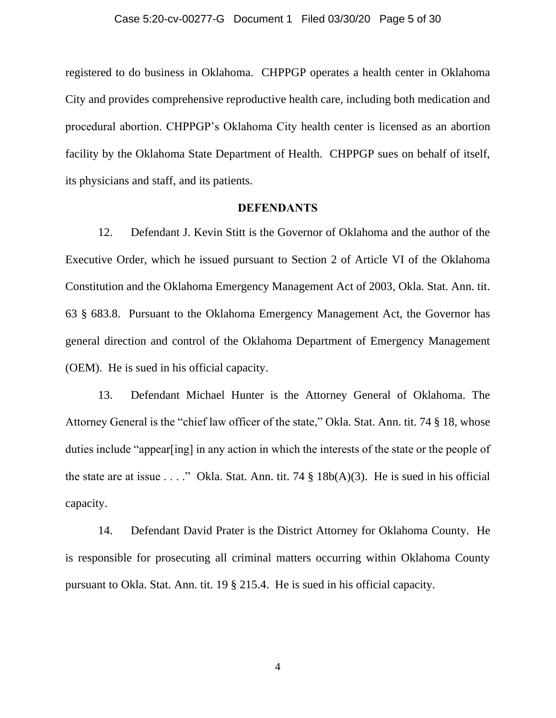registered to do business in Oklahoma. CHPPGP operates a health center in Oklahoma City and provides comprehensive reproductive health care, including both medication and procedural abortion. CHPPGP's Oklahoma City health center is licensed as an abortion facility by the Oklahoma State Department of Health. CHPPGP sues on behalf of itself, its physicians and staff, and its patients.

### **DEFENDANTS**

12. Defendant J. Kevin Stitt is the Governor of Oklahoma and the author of the Executive Order, which he issued pursuant to Section 2 of Article VI of the Oklahoma Constitution and the Oklahoma Emergency Management Act of 2003, Okla. Stat. Ann. tit. 63 § 683.8. Pursuant to the Oklahoma Emergency Management Act, the Governor has general direction and control of the Oklahoma Department of Emergency Management (OEM). He is sued in his official capacity.

13. Defendant Michael Hunter is the Attorney General of Oklahoma. The Attorney General is the "chief law officer of the state," Okla. Stat. Ann. tit. 74 § 18, whose duties include "appear[ing] in any action in which the interests of the state or the people of the state are at issue . . . ." Okla. Stat. Ann. tit. 74  $\S$  18b(A)(3). He is sued in his official capacity.

14. Defendant David Prater is the District Attorney for Oklahoma County. He is responsible for prosecuting all criminal matters occurring within Oklahoma County pursuant to Okla. Stat. Ann. tit. 19 § 215.4. He is sued in his official capacity.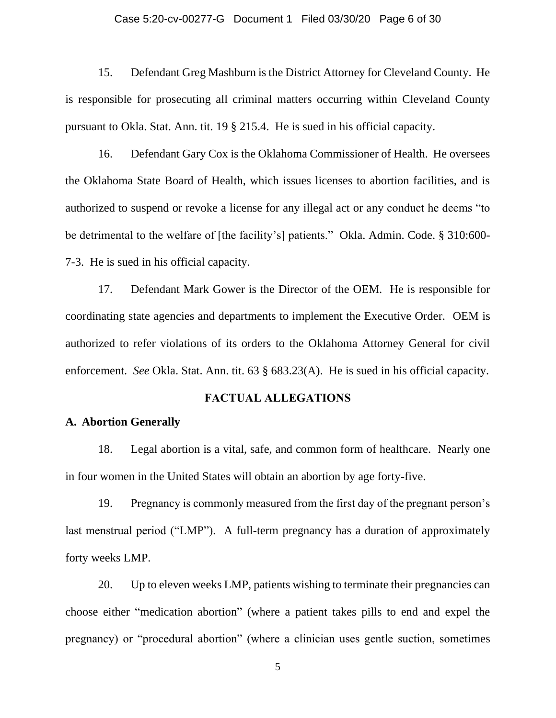#### Case 5:20-cv-00277-G Document 1 Filed 03/30/20 Page 6 of 30

15. Defendant Greg Mashburn is the District Attorney for Cleveland County. He is responsible for prosecuting all criminal matters occurring within Cleveland County pursuant to Okla. Stat. Ann. tit. 19 § 215.4. He is sued in his official capacity.

16. Defendant Gary Cox is the Oklahoma Commissioner of Health. He oversees the Oklahoma State Board of Health, which issues licenses to abortion facilities, and is authorized to suspend or revoke a license for any illegal act or any conduct he deems "to be detrimental to the welfare of [the facility's] patients." Okla. Admin. Code. § 310:600- 7-3. He is sued in his official capacity.

17. Defendant Mark Gower is the Director of the OEM. He is responsible for coordinating state agencies and departments to implement the Executive Order. OEM is authorized to refer violations of its orders to the Oklahoma Attorney General for civil enforcement. *See* Okla. Stat. Ann. tit. 63 § 683.23(A). He is sued in his official capacity.

### **FACTUAL ALLEGATIONS**

### **A. Abortion Generally**

18. Legal abortion is a vital, safe, and common form of healthcare. Nearly one in four women in the United States will obtain an abortion by age forty-five.

19. Pregnancy is commonly measured from the first day of the pregnant person's last menstrual period ("LMP"). A full-term pregnancy has a duration of approximately forty weeks LMP.

20. Up to eleven weeks LMP, patients wishing to terminate their pregnancies can choose either "medication abortion" (where a patient takes pills to end and expel the pregnancy) or "procedural abortion" (where a clinician uses gentle suction, sometimes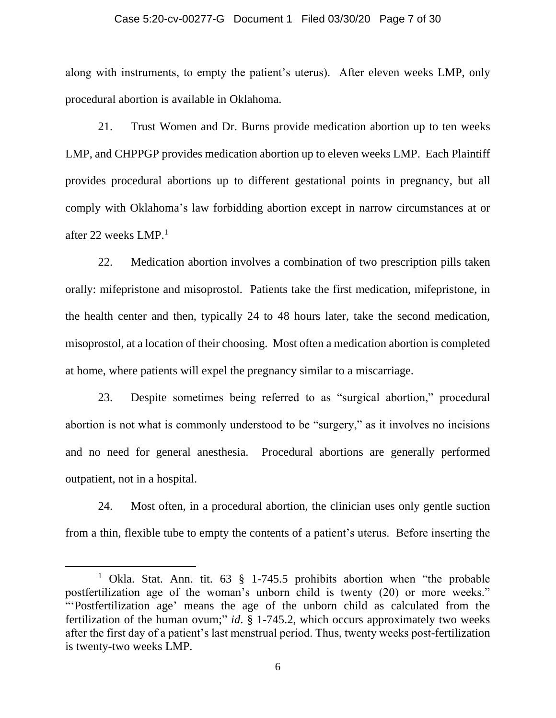#### Case 5:20-cv-00277-G Document 1 Filed 03/30/20 Page 7 of 30

along with instruments, to empty the patient's uterus). After eleven weeks LMP, only procedural abortion is available in Oklahoma.

21. Trust Women and Dr. Burns provide medication abortion up to ten weeks LMP, and CHPPGP provides medication abortion up to eleven weeks LMP. Each Plaintiff provides procedural abortions up to different gestational points in pregnancy, but all comply with Oklahoma's law forbidding abortion except in narrow circumstances at or after 22 weeks LMP.<sup>1</sup>

22. Medication abortion involves a combination of two prescription pills taken orally: mifepristone and misoprostol. Patients take the first medication, mifepristone, in the health center and then, typically 24 to 48 hours later, take the second medication, misoprostol, at a location of their choosing. Most often a medication abortion is completed at home, where patients will expel the pregnancy similar to a miscarriage.

23. Despite sometimes being referred to as "surgical abortion," procedural abortion is not what is commonly understood to be "surgery," as it involves no incisions and no need for general anesthesia. Procedural abortions are generally performed outpatient, not in a hospital.

24. Most often, in a procedural abortion, the clinician uses only gentle suction from a thin, flexible tube to empty the contents of a patient's uterus. Before inserting the

<sup>&</sup>lt;sup>1</sup> Okla. Stat. Ann. tit.  $63 \text{ } \frac{8}{9}$  1-745.5 prohibits abortion when "the probable" postfertilization age of the woman's unborn child is twenty (20) or more weeks." "'Postfertilization age' means the age of the unborn child as calculated from the fertilization of the human ovum;" *id*. § 1-745.2, which occurs approximately two weeks after the first day of a patient's last menstrual period. Thus, twenty weeks post-fertilization is twenty-two weeks LMP.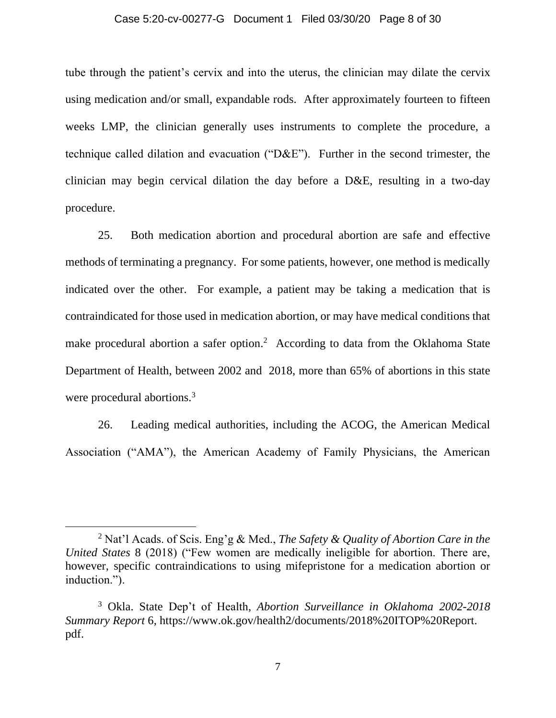#### Case 5:20-cv-00277-G Document 1 Filed 03/30/20 Page 8 of 30

tube through the patient's cervix and into the uterus, the clinician may dilate the cervix using medication and/or small, expandable rods. After approximately fourteen to fifteen weeks LMP, the clinician generally uses instruments to complete the procedure, a technique called dilation and evacuation ("D&E"). Further in the second trimester, the clinician may begin cervical dilation the day before a D&E, resulting in a two-day procedure.

25. Both medication abortion and procedural abortion are safe and effective methods of terminating a pregnancy. For some patients, however, one method is medically indicated over the other. For example, a patient may be taking a medication that is contraindicated for those used in medication abortion, or may have medical conditions that make procedural abortion a safer option.<sup>2</sup> According to data from the Oklahoma State Department of Health, between 2002 and 2018, more than 65% of abortions in this state were procedural abortions.<sup>3</sup>

26. Leading medical authorities, including the ACOG, the American Medical Association ("AMA"), the American Academy of Family Physicians, the American

<sup>2</sup> Nat'l Acads. of Scis. Eng'g & Med., *The Safety & Quality of Abortion Care in the United States* 8 (2018) ("Few women are medically ineligible for abortion. There are, however, specific contraindications to using mifepristone for a medication abortion or induction.").

<sup>3</sup> Okla. State Dep't of Health, *Abortion Surveillance in Oklahoma 2002-2018 Summary Report* 6, https://www.ok.gov/health2/documents/2018%20ITOP%20Report. pdf.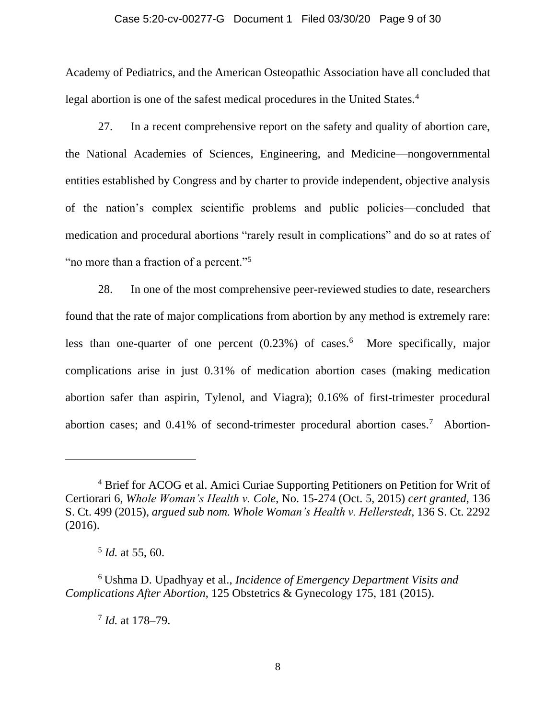#### Case 5:20-cv-00277-G Document 1 Filed 03/30/20 Page 9 of 30

Academy of Pediatrics, and the American Osteopathic Association have all concluded that legal abortion is one of the safest medical procedures in the United States.<sup>4</sup>

27. In a recent comprehensive report on the safety and quality of abortion care, the National Academies of Sciences, Engineering, and Medicine—nongovernmental entities established by Congress and by charter to provide independent, objective analysis of the nation's complex scientific problems and public policies—concluded that medication and procedural abortions "rarely result in complications" and do so at rates of "no more than a fraction of a percent."<sup>5</sup>

28. In one of the most comprehensive peer-reviewed studies to date, researchers found that the rate of major complications from abortion by any method is extremely rare: less than one-quarter of one percent (0.23%) of cases.<sup>6</sup> More specifically, major complications arise in just 0.31% of medication abortion cases (making medication abortion safer than aspirin, Tylenol, and Viagra); 0.16% of first-trimester procedural abortion cases; and 0.41% of second-trimester procedural abortion cases.<sup>7</sup> Abortion-

7 *Id.* at 178–79.

<sup>4</sup> Brief for ACOG et al. Amici Curiae Supporting Petitioners on Petition for Writ of Certiorari 6, *Whole Woman's Health v. Cole*, No. 15-274 (Oct. 5, 2015) *cert granted*, 136 S. Ct. 499 (2015), *argued sub nom. Whole Woman's Health v. Hellerstedt*, 136 S. Ct. 2292 (2016).

<sup>5</sup> *Id.* at 55, 60.

<sup>6</sup> Ushma D. Upadhyay et al., *Incidence of Emergency Department Visits and Complications After Abortion*, 125 Obstetrics & Gynecology 175, 181 (2015).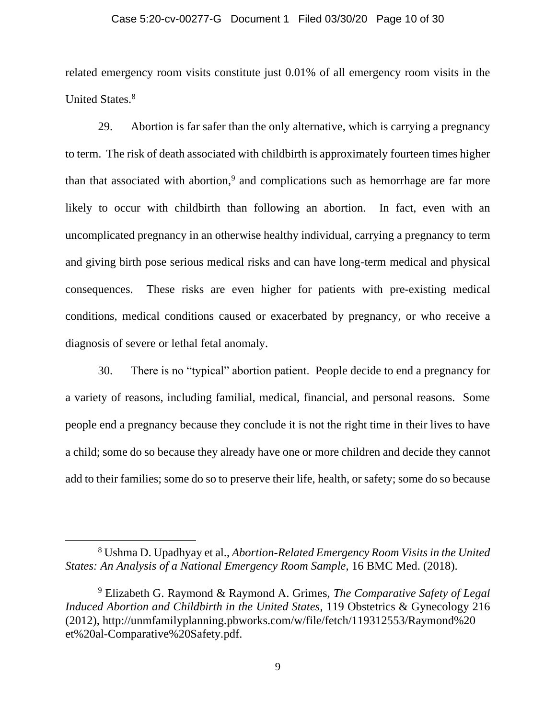#### Case 5:20-cv-00277-G Document 1 Filed 03/30/20 Page 10 of 30

related emergency room visits constitute just 0.01% of all emergency room visits in the United States.<sup>8</sup>

29. Abortion is far safer than the only alternative, which is carrying a pregnancy to term. The risk of death associated with childbirth is approximately fourteen times higher than that associated with abortion,<sup>9</sup> and complications such as hemorrhage are far more likely to occur with childbirth than following an abortion. In fact, even with an uncomplicated pregnancy in an otherwise healthy individual, carrying a pregnancy to term and giving birth pose serious medical risks and can have long-term medical and physical consequences. These risks are even higher for patients with pre-existing medical conditions, medical conditions caused or exacerbated by pregnancy, or who receive a diagnosis of severe or lethal fetal anomaly.

30. There is no "typical" abortion patient. People decide to end a pregnancy for a variety of reasons, including familial, medical, financial, and personal reasons. Some people end a pregnancy because they conclude it is not the right time in their lives to have a child; some do so because they already have one or more children and decide they cannot add to their families; some do so to preserve their life, health, or safety; some do so because

<sup>8</sup> Ushma D. Upadhyay et al., *Abortion-Related Emergency Room Visits in the United States: An Analysis of a National Emergency Room Sample*, 16 BMC Med. (2018).

<sup>9</sup> Elizabeth G. Raymond & Raymond A. Grimes, *The Comparative Safety of Legal Induced Abortion and Childbirth in the United States*, 119 Obstetrics & Gynecology 216 (2012), http://unmfamilyplanning.pbworks.com/w/file/fetch/119312553/Raymond%20 et%20al-Comparative%20Safety.pdf.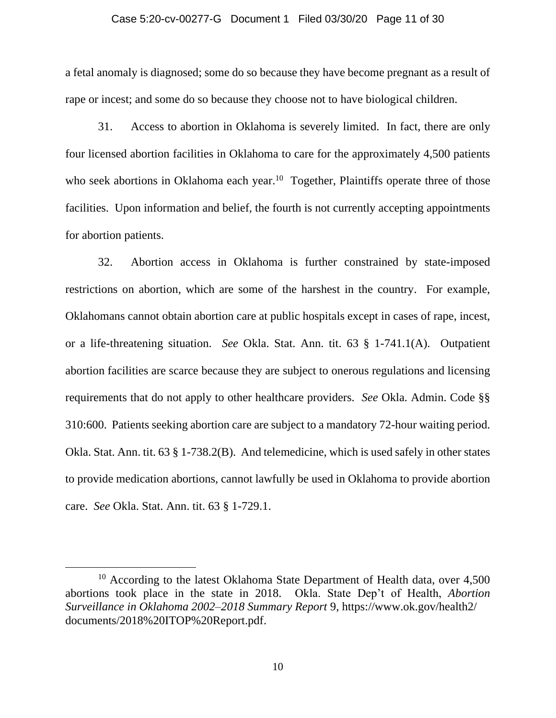#### Case 5:20-cv-00277-G Document 1 Filed 03/30/20 Page 11 of 30

a fetal anomaly is diagnosed; some do so because they have become pregnant as a result of rape or incest; and some do so because they choose not to have biological children.

31. Access to abortion in Oklahoma is severely limited. In fact, there are only four licensed abortion facilities in Oklahoma to care for the approximately 4,500 patients who seek abortions in Oklahoma each year.<sup>10</sup> Together, Plaintiffs operate three of those facilities. Upon information and belief, the fourth is not currently accepting appointments for abortion patients.

32. Abortion access in Oklahoma is further constrained by state-imposed restrictions on abortion, which are some of the harshest in the country. For example, Oklahomans cannot obtain abortion care at public hospitals except in cases of rape, incest, or a life-threatening situation. *See* Okla. Stat. Ann. tit. 63 § 1-741.1(A). Outpatient abortion facilities are scarce because they are subject to onerous regulations and licensing requirements that do not apply to other healthcare providers. *See* Okla. Admin. Code §§ 310:600. Patients seeking abortion care are subject to a mandatory 72-hour waiting period. Okla. Stat. Ann. tit. 63 § 1-738.2(B). And telemedicine, which is used safely in other states to provide medication abortions, cannot lawfully be used in Oklahoma to provide abortion care. *See* Okla. Stat. Ann. tit. 63 § 1-729.1.

 $10$  According to the latest Oklahoma State Department of Health data, over 4,500 abortions took place in the state in 2018. Okla. State Dep't of Health, *Abortion Surveillance in Oklahoma 2002–2018 Summary Report* 9, https://www.ok.gov/health2/ documents/2018%20ITOP%20Report.pdf.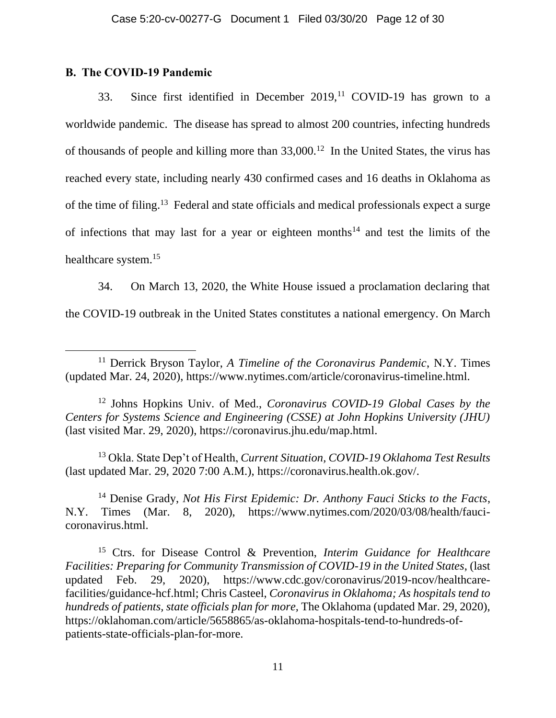# **B. The COVID-19 Pandemic**

33. Since first identified in December  $2019$ ,<sup>11</sup> COVID-19 has grown to a worldwide pandemic. The disease has spread to almost 200 countries, infecting hundreds of thousands of people and killing more than 33,000. <sup>12</sup> In the United States, the virus has reached every state, including nearly 430 confirmed cases and 16 deaths in Oklahoma as of the time of filing.<sup>13</sup> Federal and state officials and medical professionals expect a surge of infections that may last for a year or eighteen months<sup>14</sup> and test the limits of the healthcare system.<sup>15</sup>

34. On March 13, 2020, the White House issued a proclamation declaring that the COVID-19 outbreak in the United States constitutes a national emergency. On March

<sup>12</sup> Johns Hopkins Univ. of Med., *Coronavirus COVID-19 Global Cases by the Centers for Systems Science and Engineering (CSSE) at John Hopkins University (JHU)*  (last visited Mar. 29, 2020), https://coronavirus.jhu.edu/map.html.

<sup>13</sup> Okla. State Dep't of Health, *Current Situation, COVID-19 Oklahoma Test Results* (last updated Mar. 29, 2020 7:00 A.M.), https://coronavirus.health.ok.gov/.

<sup>14</sup> Denise Grady, *Not His First Epidemic: Dr. Anthony Fauci Sticks to the Facts*, N.Y. Times (Mar. 8, 2020), https://www.nytimes.com/2020/03/08/health/faucicoronavirus.html.

<sup>15</sup> Ctrs. for Disease Control & Prevention, *Interim Guidance for Healthcare Facilities: Preparing for Community Transmission of COVID-19 in the United States*, (last updated Feb. 29, 2020), https://www.cdc.gov/coronavirus/2019-ncov/healthcarefacilities/guidance-hcf.html; Chris Casteel, *Coronavirus in Oklahoma; As hospitals tend to hundreds of patients, state officials plan for more,* The Oklahoma (updated Mar. 29, 2020), https://oklahoman.com/article/5658865/as-oklahoma-hospitals-tend-to-hundreds-ofpatients-state-officials-plan-for-more.

<sup>11</sup> Derrick Bryson Taylor, *A Timeline of the Coronavirus Pandemic*, N.Y. Times (updated Mar. 24, 2020), https://www.nytimes.com/article/coronavirus-timeline.html.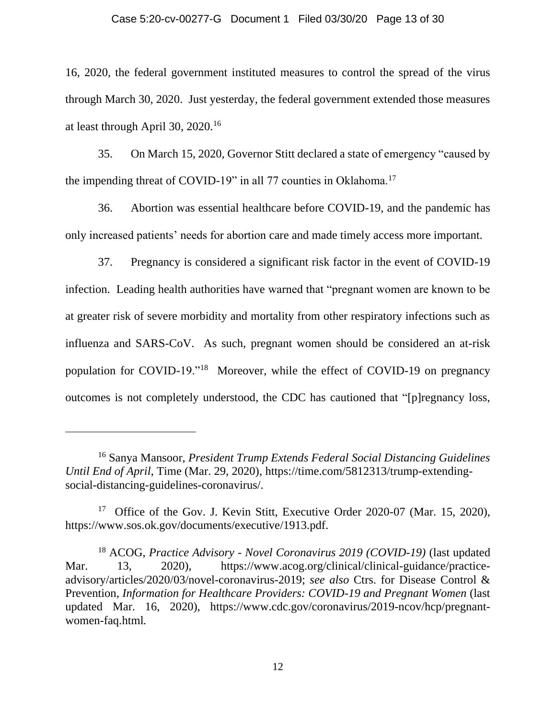#### Case 5:20-cv-00277-G Document 1 Filed 03/30/20 Page 13 of 30

16, 2020, the federal government instituted measures to control the spread of the virus through March 30, 2020. Just yesterday, the federal government extended those measures at least through April 30, 2020.<sup>16</sup>

35. On March 15, 2020, Governor Stitt declared a state of emergency "caused by the impending threat of COVID-19" in all 77 counties in Oklahoma.<sup>17</sup>

36. Abortion was essential healthcare before COVID-19, and the pandemic has only increased patients' needs for abortion care and made timely access more important.

37. Pregnancy is considered a significant risk factor in the event of COVID-19 infection. Leading health authorities have warned that "pregnant women are known to be at greater risk of severe morbidity and mortality from other respiratory infections such as influenza and SARS-CoV. As such, pregnant women should be considered an at-risk population for COVID-19."<sup>18</sup> Moreover, while the effect of COVID-19 on pregnancy outcomes is not completely understood, the CDC has cautioned that "[p]regnancy loss,

<sup>16</sup> Sanya Mansoor, *President Trump Extends Federal Social Distancing Guidelines Until End of April*, Time (Mar. 29, 2020), https://time.com/5812313/trump-extendingsocial-distancing-guidelines-coronavirus/.

<sup>&</sup>lt;sup>17</sup> Office of the Gov. J. Kevin Stitt, Executive Order 2020-07 (Mar. 15, 2020), https://www.sos.ok.gov/documents/executive/1913.pdf.

<sup>18</sup> ACOG, *Practice Advisory - Novel Coronavirus 2019 (COVID-19)* (last updated Mar. 13, 2020), https://www.acog.org/clinical/clinical-guidance/practiceadvisory/articles/2020/03/novel-coronavirus-2019; *see also* Ctrs. for Disease Control & Prevention, *Information for Healthcare Providers: COVID-19 and Pregnant Women* (last updated Mar. 16, 2020), https://www.cdc.gov/coronavirus/2019-ncov/hcp/pregnantwomen-faq.html*.*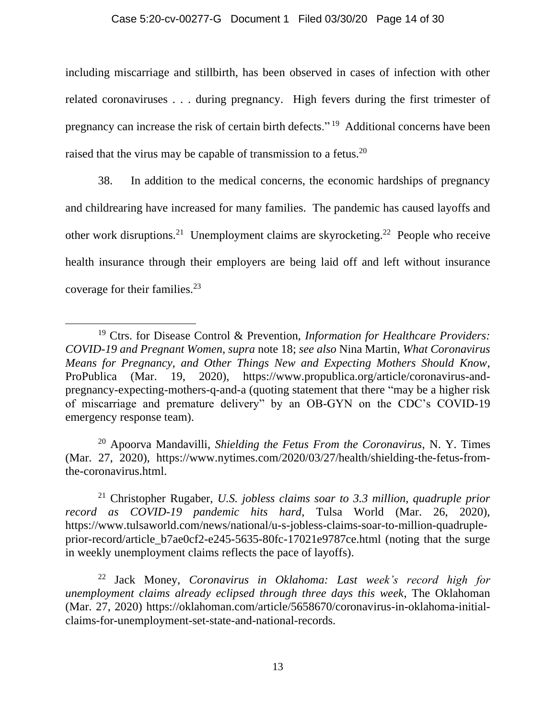### Case 5:20-cv-00277-G Document 1 Filed 03/30/20 Page 14 of 30

including miscarriage and stillbirth, has been observed in cases of infection with other related coronaviruses . . . during pregnancy. High fevers during the first trimester of pregnancy can increase the risk of certain birth defects."<sup>19</sup> Additional concerns have been raised that the virus may be capable of transmission to a fetus.<sup>20</sup>

38. In addition to the medical concerns, the economic hardships of pregnancy and childrearing have increased for many families. The pandemic has caused layoffs and other work disruptions.<sup>21</sup> Unemployment claims are skyrocketing.<sup>22</sup> People who receive health insurance through their employers are being laid off and left without insurance coverage for their families.<sup>23</sup>

<sup>20</sup> Apoorva Mandavilli, *Shielding the Fetus From the Coronavirus*, N. Y. Times (Mar. 27, 2020), https://www.nytimes.com/2020/03/27/health/shielding-the-fetus-fromthe-coronavirus.html.

<sup>21</sup> Christopher Rugaber, *U.S. jobless claims soar to 3.3 million, quadruple prior record as COVID-19 pandemic hits hard*, Tulsa World (Mar. 26, 2020), https://www.tulsaworld.com/news/national/u-s-jobless-claims-soar-to-million-quadrupleprior-record/article\_b7ae0cf2-e245-5635-80fc-17021e9787ce.html (noting that the surge in weekly unemployment claims reflects the pace of layoffs).

<sup>22</sup> Jack Money, *Coronavirus in Oklahoma: Last week's record high for unemployment claims already eclipsed through three days this week*, The Oklahoman (Mar. 27, 2020) https://oklahoman.com/article/5658670/coronavirus-in-oklahoma-initialclaims-for-unemployment-set-state-and-national-records.

<sup>19</sup> Ctrs. for Disease Control & Prevention, *Information for Healthcare Providers: COVID-19 and Pregnant Women*, *supra* note 18; *see also* Nina Martin, *What Coronavirus Means for Pregnancy, and Other Things New and Expecting Mothers Should Know*, ProPublica (Mar. 19, 2020), https://www.propublica.org/article/coronavirus-andpregnancy-expecting-mothers-q-and-a (quoting statement that there "may be a higher risk of miscarriage and premature delivery" by an OB-GYN on the CDC's COVID-19 emergency response team).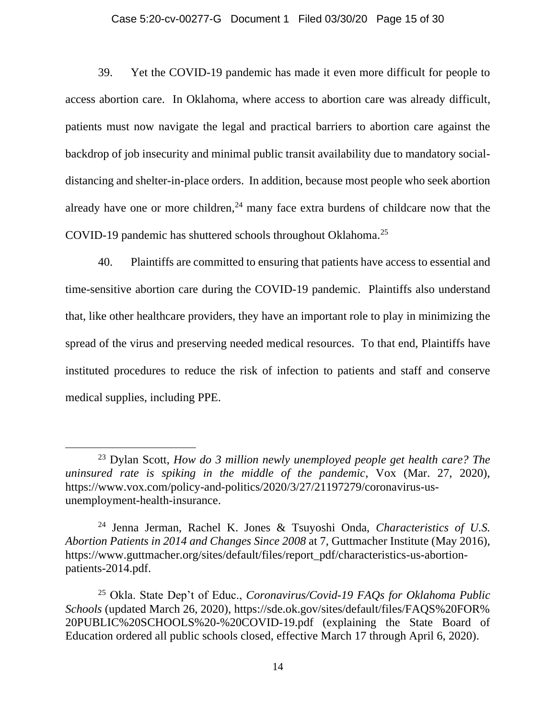#### Case 5:20-cv-00277-G Document 1 Filed 03/30/20 Page 15 of 30

39. Yet the COVID-19 pandemic has made it even more difficult for people to access abortion care. In Oklahoma, where access to abortion care was already difficult, patients must now navigate the legal and practical barriers to abortion care against the backdrop of job insecurity and minimal public transit availability due to mandatory socialdistancing and shelter-in-place orders. In addition, because most people who seek abortion already have one or more children, $^{24}$  many face extra burdens of childcare now that the COVID-19 pandemic has shuttered schools throughout Oklahoma.<sup>25</sup>

40. Plaintiffs are committed to ensuring that patients have access to essential and time-sensitive abortion care during the COVID-19 pandemic. Plaintiffs also understand that, like other healthcare providers, they have an important role to play in minimizing the spread of the virus and preserving needed medical resources. To that end, Plaintiffs have instituted procedures to reduce the risk of infection to patients and staff and conserve medical supplies, including PPE.

<sup>23</sup> Dylan Scott, *How do 3 million newly unemployed people get health care? The uninsured rate is spiking in the middle of the pandemic*, Vox (Mar. 27, 2020), https://www.vox.com/policy-and-politics/2020/3/27/21197279/coronavirus-usunemployment-health-insurance.

<sup>24</sup> Jenna Jerman, Rachel K. Jones & Tsuyoshi Onda, *Characteristics of U.S. Abortion Patients in 2014 and Changes Since 2008* at 7, Guttmacher Institute (May 2016), https://www.guttmacher.org/sites/default/files/report\_pdf/characteristics-us-abortionpatients-2014.pdf.

<sup>25</sup> Okla. State Dep't of Educ., *Coronavirus/Covid-19 FAQs for Oklahoma Public Schools* (updated March 26, 2020), https://sde.ok.gov/sites/default/files/FAQS%20FOR% 20PUBLIC%20SCHOOLS%20-%20COVID-19.pdf (explaining the State Board of Education ordered all public schools closed, effective March 17 through April 6, 2020).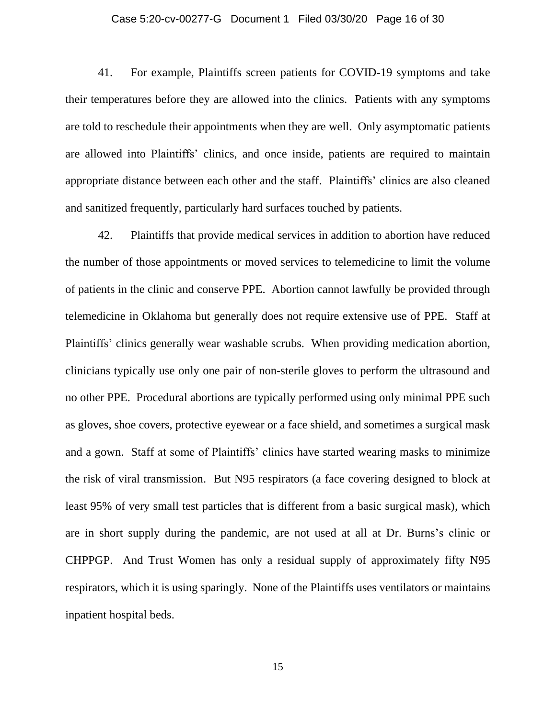#### Case 5:20-cv-00277-G Document 1 Filed 03/30/20 Page 16 of 30

41. For example, Plaintiffs screen patients for COVID-19 symptoms and take their temperatures before they are allowed into the clinics. Patients with any symptoms are told to reschedule their appointments when they are well. Only asymptomatic patients are allowed into Plaintiffs' clinics, and once inside, patients are required to maintain appropriate distance between each other and the staff. Plaintiffs' clinics are also cleaned and sanitized frequently, particularly hard surfaces touched by patients.

42. Plaintiffs that provide medical services in addition to abortion have reduced the number of those appointments or moved services to telemedicine to limit the volume of patients in the clinic and conserve PPE. Abortion cannot lawfully be provided through telemedicine in Oklahoma but generally does not require extensive use of PPE. Staff at Plaintiffs' clinics generally wear washable scrubs. When providing medication abortion, clinicians typically use only one pair of non-sterile gloves to perform the ultrasound and no other PPE. Procedural abortions are typically performed using only minimal PPE such as gloves, shoe covers, protective eyewear or a face shield, and sometimes a surgical mask and a gown. Staff at some of Plaintiffs' clinics have started wearing masks to minimize the risk of viral transmission. But N95 respirators (a face covering designed to block at least 95% of very small test particles that is different from a basic surgical mask), which are in short supply during the pandemic, are not used at all at Dr. Burns's clinic or CHPPGP. And Trust Women has only a residual supply of approximately fifty N95 respirators, which it is using sparingly. None of the Plaintiffs uses ventilators or maintains inpatient hospital beds.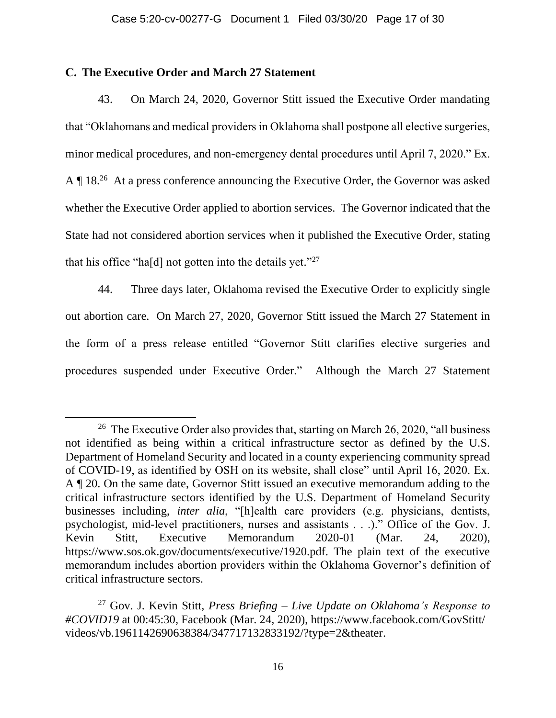# **C. The Executive Order and March 27 Statement**

43. On March 24, 2020, Governor Stitt issued the Executive Order mandating that "Oklahomans and medical providers in Oklahoma shall postpone all elective surgeries, minor medical procedures, and non-emergency dental procedures until April 7, 2020." Ex. A ¶ 18.<sup>26</sup> At a press conference announcing the Executive Order, the Governor was asked whether the Executive Order applied to abortion services. The Governor indicated that the State had not considered abortion services when it published the Executive Order, stating that his office "ha[d] not gotten into the details yet." $27$ 

44. Three days later, Oklahoma revised the Executive Order to explicitly single out abortion care. On March 27, 2020, Governor Stitt issued the March 27 Statement in the form of a press release entitled "Governor Stitt clarifies elective surgeries and procedures suspended under Executive Order." Although the March 27 Statement

<sup>&</sup>lt;sup>26</sup> The Executive Order also provides that, starting on March 26, 2020, "all business" not identified as being within a critical infrastructure sector as defined by the U.S. Department of Homeland Security and located in a county experiencing community spread of COVID-19, as identified by OSH on its website, shall close" until April 16, 2020. Ex. A ¶ 20. On the same date, Governor Stitt issued an executive memorandum adding to the critical infrastructure sectors identified by the U.S. Department of Homeland Security businesses including, *inter alia*, "[h]ealth care providers (e.g. physicians, dentists, psychologist, mid-level practitioners, nurses and assistants . . .)." Office of the Gov. J. Kevin Stitt, Executive Memorandum 2020-01 (Mar. 24, 2020), https://www.sos.ok.gov/documents/executive/1920.pdf. The plain text of the executive memorandum includes abortion providers within the Oklahoma Governor's definition of critical infrastructure sectors.

<sup>27</sup> Gov. J. Kevin Stitt, *Press Briefing – Live Update on Oklahoma's Response to #COVID19* at 00:45:30, Facebook (Mar. 24, 2020), https://www.facebook.com/GovStitt/ videos/vb.1961142690638384/347717132833192/?type=2&theater.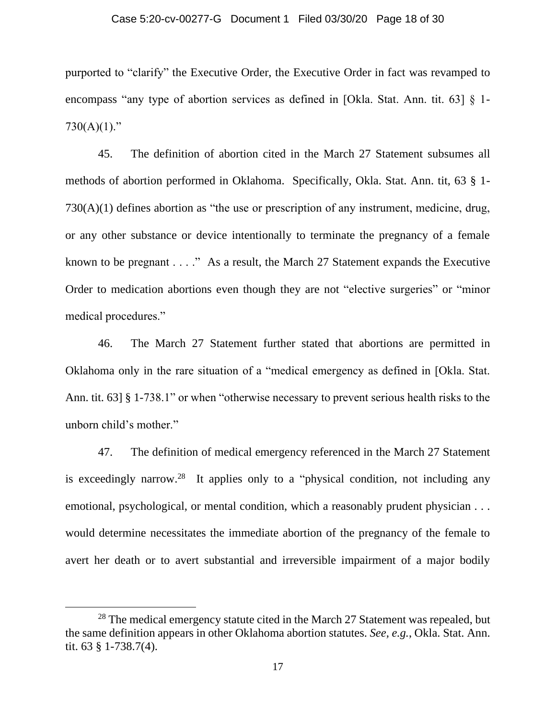#### Case 5:20-cv-00277-G Document 1 Filed 03/30/20 Page 18 of 30

purported to "clarify" the Executive Order, the Executive Order in fact was revamped to encompass "any type of abortion services as defined in [Okla. Stat. Ann. tit. 63] § 1-  $730(A)(1)$ ."

45. The definition of abortion cited in the March 27 Statement subsumes all methods of abortion performed in Oklahoma. Specifically, Okla. Stat. Ann. tit, 63 § 1- 730(A)(1) defines abortion as "the use or prescription of any instrument, medicine, drug, or any other substance or device intentionally to terminate the pregnancy of a female known to be pregnant  $\dots$ ." As a result, the March 27 Statement expands the Executive Order to medication abortions even though they are not "elective surgeries" or "minor medical procedures."

46. The March 27 Statement further stated that abortions are permitted in Oklahoma only in the rare situation of a "medical emergency as defined in [Okla. Stat. Ann. tit. 63] § 1-738.1" or when "otherwise necessary to prevent serious health risks to the unborn child's mother."

47. The definition of medical emergency referenced in the March 27 Statement is exceedingly narrow.<sup>28</sup> It applies only to a "physical condition, not including any emotional, psychological, or mental condition, which a reasonably prudent physician . . . would determine necessitates the immediate abortion of the pregnancy of the female to avert her death or to avert substantial and irreversible impairment of a major bodily

<sup>&</sup>lt;sup>28</sup> The medical emergency statute cited in the March 27 Statement was repealed, but the same definition appears in other Oklahoma abortion statutes. *See, e.g.*, Okla. Stat. Ann. tit. 63 § 1-738.7(4).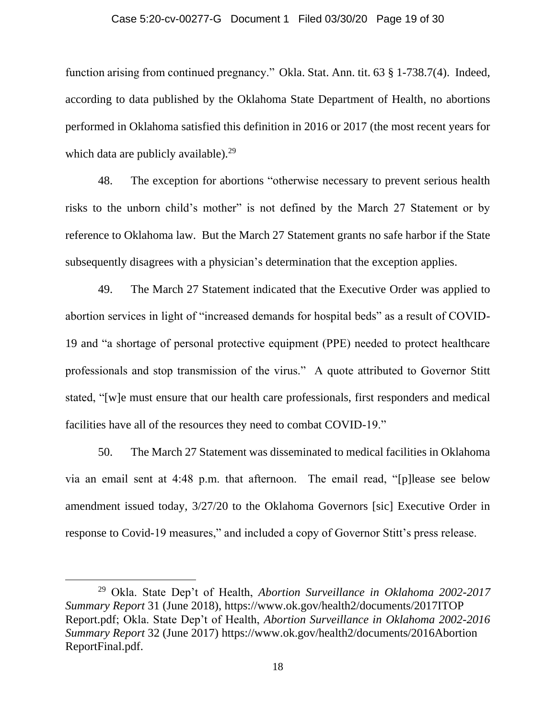#### Case 5:20-cv-00277-G Document 1 Filed 03/30/20 Page 19 of 30

function arising from continued pregnancy." Okla. Stat. Ann. tit. 63 § 1-738.7(4). Indeed, according to data published by the Oklahoma State Department of Health, no abortions performed in Oklahoma satisfied this definition in 2016 or 2017 (the most recent years for which data are publicly available). $29$ 

48. The exception for abortions "otherwise necessary to prevent serious health risks to the unborn child's mother" is not defined by the March 27 Statement or by reference to Oklahoma law. But the March 27 Statement grants no safe harbor if the State subsequently disagrees with a physician's determination that the exception applies.

49. The March 27 Statement indicated that the Executive Order was applied to abortion services in light of "increased demands for hospital beds" as a result of COVID-19 and "a shortage of personal protective equipment (PPE) needed to protect healthcare professionals and stop transmission of the virus." A quote attributed to Governor Stitt stated, "[w]e must ensure that our health care professionals, first responders and medical facilities have all of the resources they need to combat COVID-19."

50. The March 27 Statement was disseminated to medical facilities in Oklahoma via an email sent at 4:48 p.m. that afternoon. The email read, "[p]lease see below amendment issued today, 3/27/20 to the Oklahoma Governors [sic] Executive Order in response to Covid-19 measures," and included a copy of Governor Stitt's press release.

<sup>29</sup> Okla. State Dep't of Health, *Abortion Surveillance in Oklahoma 2002-2017 Summary Report* 31 (June 2018), https://www.ok.gov/health2/documents/2017ITOP Report.pdf; Okla. State Dep't of Health, *Abortion Surveillance in Oklahoma 2002-2016 Summary Report* 32 (June 2017) https://www.ok.gov/health2/documents/2016Abortion ReportFinal.pdf.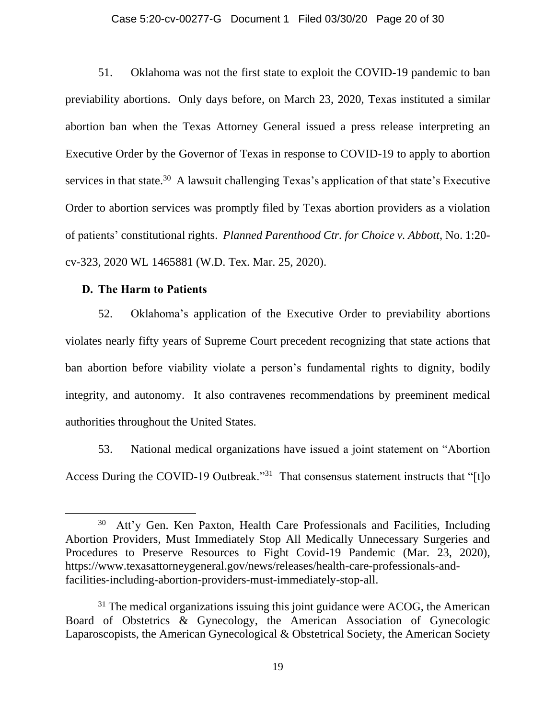#### Case 5:20-cv-00277-G Document 1 Filed 03/30/20 Page 20 of 30

51. Oklahoma was not the first state to exploit the COVID-19 pandemic to ban previability abortions. Only days before, on March 23, 2020, Texas instituted a similar abortion ban when the Texas Attorney General issued a press release interpreting an Executive Order by the Governor of Texas in response to COVID-19 to apply to abortion services in that state.<sup>30</sup> A lawsuit challenging Texas's application of that state's Executive Order to abortion services was promptly filed by Texas abortion providers as a violation of patients' constitutional rights. *Planned Parenthood Ctr. for Choice v. Abbott*, No. 1:20 cv-323, 2020 WL 1465881 (W.D. Tex. Mar. 25, 2020).

## **D. The Harm to Patients**

52. Oklahoma's application of the Executive Order to previability abortions violates nearly fifty years of Supreme Court precedent recognizing that state actions that ban abortion before viability violate a person's fundamental rights to dignity, bodily integrity, and autonomy. It also contravenes recommendations by preeminent medical authorities throughout the United States.

53. National medical organizations have issued a joint statement on "Abortion Access During the COVID-19 Outbreak."<sup>31</sup> That consensus statement instructs that "[t]o

<sup>30</sup> Att'y Gen. Ken Paxton, Health Care Professionals and Facilities, Including Abortion Providers, Must Immediately Stop All Medically Unnecessary Surgeries and Procedures to Preserve Resources to Fight Covid-19 Pandemic (Mar. 23, 2020), https://www.texasattorneygeneral.gov/news/releases/health-care-professionals-andfacilities-including-abortion-providers-must-immediately-stop-all.

 $31$  The medical organizations issuing this joint guidance were ACOG, the American Board of Obstetrics & Gynecology, the American Association of Gynecologic Laparoscopists, the American Gynecological & Obstetrical Society, the American Society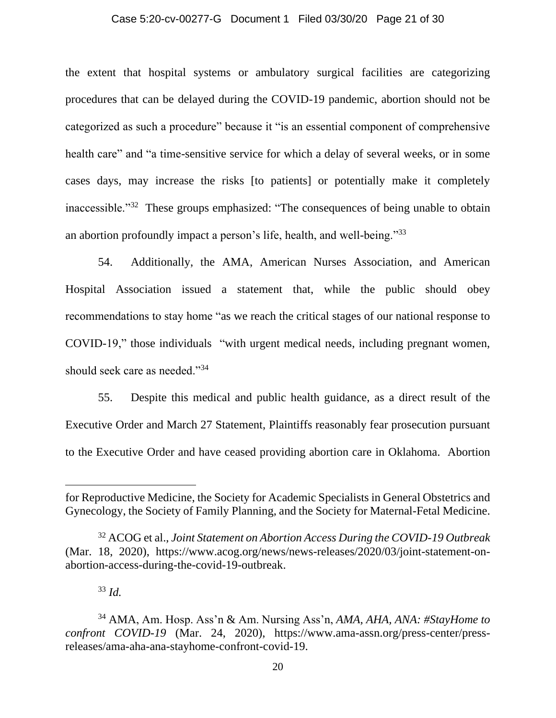#### Case 5:20-cv-00277-G Document 1 Filed 03/30/20 Page 21 of 30

the extent that hospital systems or ambulatory surgical facilities are categorizing procedures that can be delayed during the COVID-19 pandemic, abortion should not be categorized as such a procedure" because it "is an essential component of comprehensive health care" and "a time-sensitive service for which a delay of several weeks, or in some cases days, may increase the risks [to patients] or potentially make it completely inaccessible."<sup>32</sup> These groups emphasized: "The consequences of being unable to obtain an abortion profoundly impact a person's life, health, and well-being."<sup>33</sup>

54. Additionally, the AMA, American Nurses Association, and American Hospital Association issued a statement that, while the public should obey recommendations to stay home "as we reach the critical stages of our national response to COVID-19," those individuals "with urgent medical needs, including pregnant women, should seek care as needed."<sup>34</sup>

55. Despite this medical and public health guidance, as a direct result of the Executive Order and March 27 Statement, Plaintiffs reasonably fear prosecution pursuant to the Executive Order and have ceased providing abortion care in Oklahoma. Abortion

<sup>33</sup> *Id.*

for Reproductive Medicine, the Society for Academic Specialists in General Obstetrics and Gynecology, the Society of Family Planning, and the Society for Maternal-Fetal Medicine.

<sup>32</sup> ACOG et al., *Joint Statement on Abortion Access During the COVID-19 Outbreak* (Mar. 18, 2020), https://www.acog.org/news/news-releases/2020/03/joint-statement-onabortion-access-during-the-covid-19-outbreak.

<sup>34</sup> AMA, Am. Hosp. Ass'n & Am. Nursing Ass'n, *AMA, AHA, ANA: #StayHome to confront COVID-19* (Mar. 24, 2020), https://www.ama-assn.org/press-center/pressreleases/ama-aha-ana-stayhome-confront-covid-19.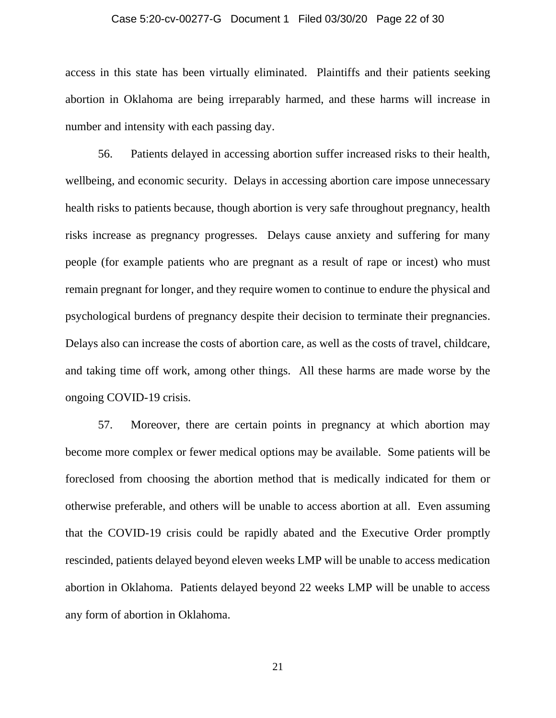#### Case 5:20-cv-00277-G Document 1 Filed 03/30/20 Page 22 of 30

access in this state has been virtually eliminated. Plaintiffs and their patients seeking abortion in Oklahoma are being irreparably harmed, and these harms will increase in number and intensity with each passing day.

56. Patients delayed in accessing abortion suffer increased risks to their health, wellbeing, and economic security. Delays in accessing abortion care impose unnecessary health risks to patients because, though abortion is very safe throughout pregnancy, health risks increase as pregnancy progresses. Delays cause anxiety and suffering for many people (for example patients who are pregnant as a result of rape or incest) who must remain pregnant for longer, and they require women to continue to endure the physical and psychological burdens of pregnancy despite their decision to terminate their pregnancies. Delays also can increase the costs of abortion care, as well as the costs of travel, childcare, and taking time off work, among other things. All these harms are made worse by the ongoing COVID-19 crisis.

57. Moreover, there are certain points in pregnancy at which abortion may become more complex or fewer medical options may be available. Some patients will be foreclosed from choosing the abortion method that is medically indicated for them or otherwise preferable, and others will be unable to access abortion at all. Even assuming that the COVID-19 crisis could be rapidly abated and the Executive Order promptly rescinded, patients delayed beyond eleven weeks LMP will be unable to access medication abortion in Oklahoma. Patients delayed beyond 22 weeks LMP will be unable to access any form of abortion in Oklahoma.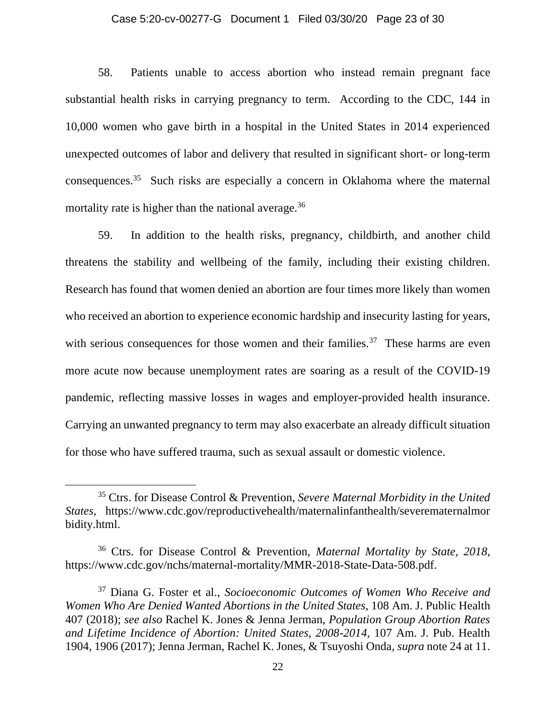#### Case 5:20-cv-00277-G Document 1 Filed 03/30/20 Page 23 of 30

58. Patients unable to access abortion who instead remain pregnant face substantial health risks in carrying pregnancy to term. According to the CDC, 144 in 10,000 women who gave birth in a hospital in the United States in 2014 experienced unexpected outcomes of labor and delivery that resulted in significant short- or long-term consequences.<sup>35</sup> Such risks are especially a concern in Oklahoma where the maternal mortality rate is higher than the national average.<sup>36</sup>

59. In addition to the health risks, pregnancy, childbirth, and another child threatens the stability and wellbeing of the family, including their existing children. Research has found that women denied an abortion are four times more likely than women who received an abortion to experience economic hardship and insecurity lasting for years, with serious consequences for those women and their families.<sup>37</sup> These harms are even more acute now because unemployment rates are soaring as a result of the COVID-19 pandemic, reflecting massive losses in wages and employer-provided health insurance. Carrying an unwanted pregnancy to term may also exacerbate an already difficult situation for those who have suffered trauma, such as sexual assault or domestic violence.

<sup>35</sup> Ctrs. for Disease Control & Prevention, *Severe Maternal Morbidity in the United States*, https://www.cdc.gov/reproductivehealth/maternalinfanthealth/severematernalmor bidity.html.

<sup>36</sup> Ctrs. for Disease Control & Prevention, *Maternal Mortality by State, 2018*, https://www.cdc.gov/nchs/maternal-mortality/MMR-2018-State-Data-508.pdf.

<sup>37</sup> Diana G. Foster et al., *Socioeconomic Outcomes of Women Who Receive and Women Who Are Denied Wanted Abortions in the United States*, 108 Am. J. Public Health 407 (2018); *see also* Rachel K. Jones & Jenna Jerman, *Population Group Abortion Rates and Lifetime Incidence of Abortion: United States, 2008-2014*, 107 Am. J. Pub. Health 1904, 1906 (2017); Jenna Jerman, Rachel K. Jones, & Tsuyoshi Onda, *supra* note 24 at 11.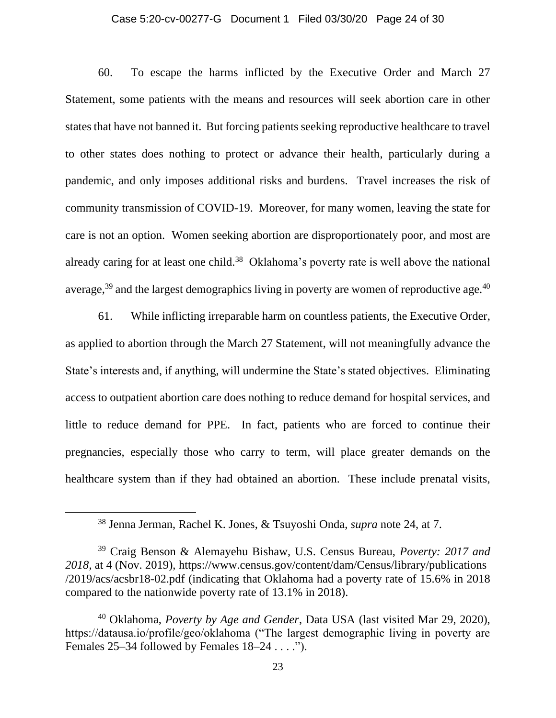#### Case 5:20-cv-00277-G Document 1 Filed 03/30/20 Page 24 of 30

60. To escape the harms inflicted by the Executive Order and March 27 Statement, some patients with the means and resources will seek abortion care in other states that have not banned it. But forcing patients seeking reproductive healthcare to travel to other states does nothing to protect or advance their health, particularly during a pandemic, and only imposes additional risks and burdens. Travel increases the risk of community transmission of COVID-19. Moreover, for many women, leaving the state for care is not an option. Women seeking abortion are disproportionately poor, and most are already caring for at least one child.<sup>38</sup> Oklahoma's poverty rate is well above the national average, $39$  and the largest demographics living in poverty are women of reproductive age. $40$ 

61. While inflicting irreparable harm on countless patients, the Executive Order, as applied to abortion through the March 27 Statement, will not meaningfully advance the State's interests and, if anything, will undermine the State's stated objectives. Eliminating access to outpatient abortion care does nothing to reduce demand for hospital services, and little to reduce demand for PPE. In fact, patients who are forced to continue their pregnancies, especially those who carry to term, will place greater demands on the healthcare system than if they had obtained an abortion. These include prenatal visits,

<sup>38</sup> Jenna Jerman, Rachel K. Jones, & Tsuyoshi Onda, *supra* note 24, at 7.

<sup>39</sup> Craig Benson & Alemayehu Bishaw, U.S. Census Bureau, *Poverty: 2017 and 2018*, at 4 (Nov. 2019), https://www.census.gov/content/dam/Census/library/publications /2019/acs/acsbr18-02.pdf (indicating that Oklahoma had a poverty rate of 15.6% in 2018 compared to the nationwide poverty rate of 13.1% in 2018).

<sup>40</sup> Oklahoma, *Poverty by Age and Gender*, Data USA (last visited Mar 29, 2020), https://datausa.io/profile/geo/oklahoma ("The largest demographic living in poverty are Females  $25-34$  followed by Females  $18-24...$ ").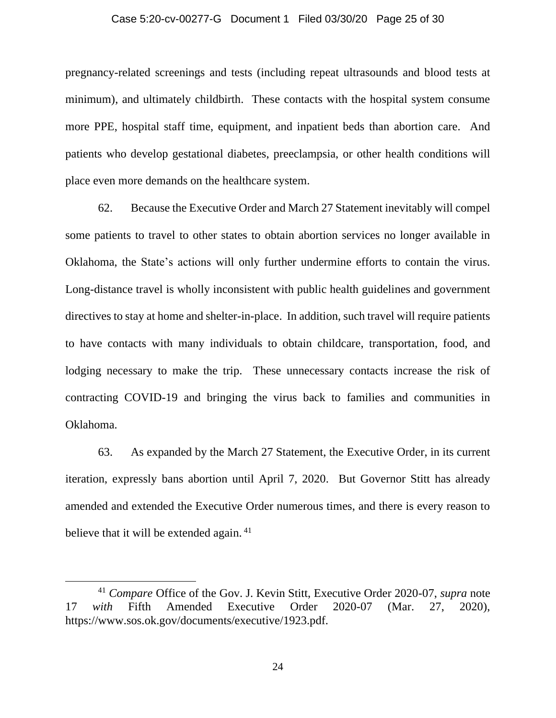#### Case 5:20-cv-00277-G Document 1 Filed 03/30/20 Page 25 of 30

pregnancy-related screenings and tests (including repeat ultrasounds and blood tests at minimum), and ultimately childbirth. These contacts with the hospital system consume more PPE, hospital staff time, equipment, and inpatient beds than abortion care. And patients who develop gestational diabetes, preeclampsia, or other health conditions will place even more demands on the healthcare system.

62. Because the Executive Order and March 27 Statement inevitably will compel some patients to travel to other states to obtain abortion services no longer available in Oklahoma, the State's actions will only further undermine efforts to contain the virus. Long-distance travel is wholly inconsistent with public health guidelines and government directives to stay at home and shelter-in-place. In addition, such travel will require patients to have contacts with many individuals to obtain childcare, transportation, food, and lodging necessary to make the trip. These unnecessary contacts increase the risk of contracting COVID-19 and bringing the virus back to families and communities in Oklahoma.

63. As expanded by the March 27 Statement, the Executive Order, in its current iteration, expressly bans abortion until April 7, 2020. But Governor Stitt has already amended and extended the Executive Order numerous times, and there is every reason to believe that it will be extended again.<sup>41</sup>

<sup>41</sup> *Compare* Office of the Gov. J. Kevin Stitt, Executive Order 2020-07, *supra* note 17 *with* Fifth Amended Executive Order 2020-07 (Mar. 27, 2020), https://www.sos.ok.gov/documents/executive/1923.pdf.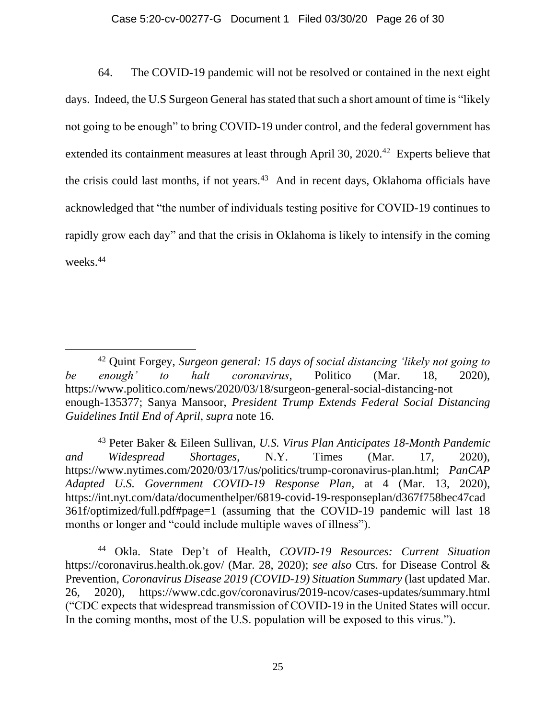## Case 5:20-cv-00277-G Document 1 Filed 03/30/20 Page 26 of 30

64. The COVID-19 pandemic will not be resolved or contained in the next eight days. Indeed, the U.S Surgeon General has stated that such a short amount of time is "likely not going to be enough" to bring COVID-19 under control, and the federal government has extended its containment measures at least through April 30, 2020.<sup>42</sup> Experts believe that the crisis could last months, if not years.<sup>43</sup> And in recent days, Oklahoma officials have acknowledged that "the number of individuals testing positive for COVID-19 continues to rapidly grow each day" and that the crisis in Oklahoma is likely to intensify in the coming weeks.<sup>44</sup>

<sup>43</sup> Peter Baker & Eileen Sullivan, *U.S. Virus Plan Anticipates 18-Month Pandemic and Widespread Shortages*, N.Y. Times (Mar. 17, 2020), https://www.nytimes.com/2020/03/17/us/politics/trump-coronavirus-plan.html; *PanCAP Adapted U.S. Government COVID-19 Response Plan*, at 4 (Mar. 13, 2020), https://int.nyt.com/data/documenthelper/6819-covid-19-responseplan/d367f758bec47cad 361f/optimized/full.pdf#page=1 (assuming that the COVID-19 pandemic will last 18 months or longer and "could include multiple waves of illness").

<sup>44</sup> Okla. State Dep't of Health, *COVID-19 Resources: Current Situation*  https://coronavirus.health.ok.gov/ (Mar. 28, 2020); *see also* Ctrs. for Disease Control & Prevention, *Coronavirus Disease 2019 (COVID-19) Situation Summary* (last updated Mar. 26, 2020), https://www.cdc.gov/coronavirus/2019-ncov/cases-updates/summary.html ("CDC expects that widespread transmission of COVID-19 in the United States will occur. In the coming months, most of the U.S. population will be exposed to this virus.").

<sup>42</sup> Quint Forgey, *Surgeon general: 15 days of social distancing 'likely not going to be enough' to halt coronavirus*, Politico (Mar. 18, 2020), https://www.politico.com/news/2020/03/18/surgeon-general-social-distancing-not enough-135377; Sanya Mansoor, *President Trump Extends Federal Social Distancing Guidelines Intil End of April*, *supra* note 16.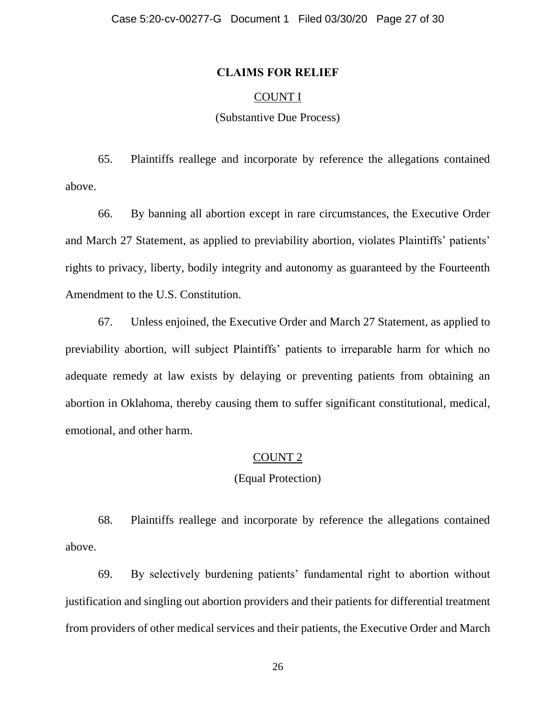## **CLAIMS FOR RELIEF**

# COUNT I

# (Substantive Due Process)

65. Plaintiffs reallege and incorporate by reference the allegations contained above.

66. By banning all abortion except in rare circumstances, the Executive Order and March 27 Statement, as applied to previability abortion, violates Plaintiffs' patients' rights to privacy, liberty, bodily integrity and autonomy as guaranteed by the Fourteenth Amendment to the U.S. Constitution.

67. Unless enjoined, the Executive Order and March 27 Statement, as applied to previability abortion, will subject Plaintiffs' patients to irreparable harm for which no adequate remedy at law exists by delaying or preventing patients from obtaining an abortion in Oklahoma, thereby causing them to suffer significant constitutional, medical, emotional, and other harm.

### COUNT 2

# (Equal Protection)

68. Plaintiffs reallege and incorporate by reference the allegations contained above.

69. By selectively burdening patients' fundamental right to abortion without justification and singling out abortion providers and their patients for differential treatment from providers of other medical services and their patients, the Executive Order and March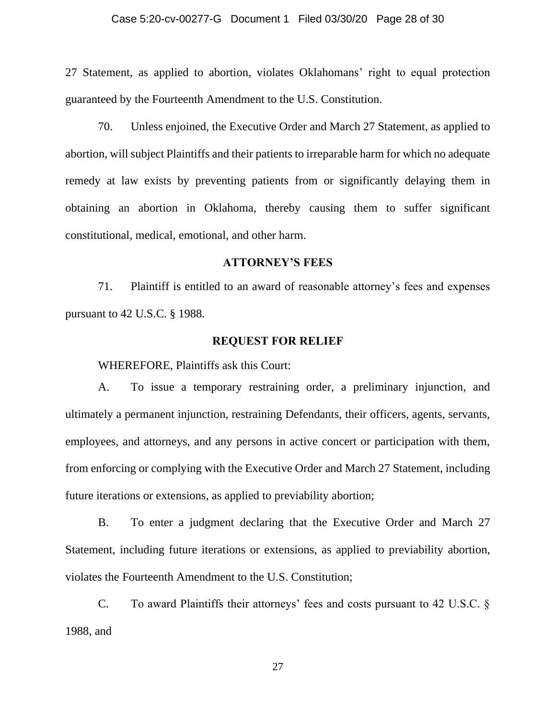#### Case 5:20-cv-00277-G Document 1 Filed 03/30/20 Page 28 of 30

27 Statement, as applied to abortion, violates Oklahomans' right to equal protection guaranteed by the Fourteenth Amendment to the U.S. Constitution.

70. Unless enjoined, the Executive Order and March 27 Statement, as applied to abortion, will subject Plaintiffs and their patients to irreparable harm for which no adequate remedy at law exists by preventing patients from or significantly delaying them in obtaining an abortion in Oklahoma, thereby causing them to suffer significant constitutional, medical, emotional, and other harm.

# **ATTORNEY'S FEES**

71. Plaintiff is entitled to an award of reasonable attorney's fees and expenses pursuant to 42 U.S.C. § 1988.

### **REQUEST FOR RELIEF**

WHEREFORE, Plaintiffs ask this Court:

A. To issue a temporary restraining order, a preliminary injunction, and ultimately a permanent injunction, restraining Defendants, their officers, agents, servants, employees, and attorneys, and any persons in active concert or participation with them, from enforcing or complying with the Executive Order and March 27 Statement, including future iterations or extensions, as applied to previability abortion;

B. To enter a judgment declaring that the Executive Order and March 27 Statement, including future iterations or extensions, as applied to previability abortion, violates the Fourteenth Amendment to the U.S. Constitution;

C. To award Plaintiffs their attorneys' fees and costs pursuant to 42 U.S.C. § 1988, and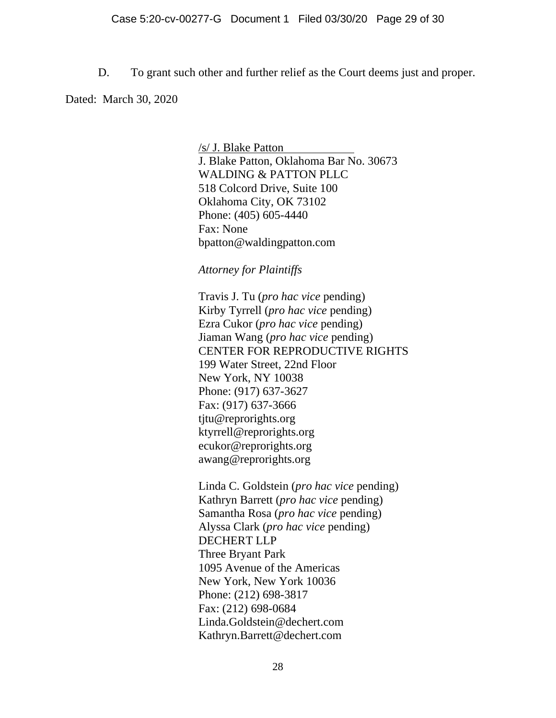D. To grant such other and further relief as the Court deems just and proper.

Dated: March 30, 2020

/s/ J. Blake Patton . J. Blake Patton, Oklahoma Bar No. 30673 WALDING & PATTON PLLC 518 Colcord Drive, Suite 100 Oklahoma City, OK 73102 Phone: (405) 605-4440 Fax: None bpatton@waldingpatton.com

*Attorney for Plaintiffs*

Travis J. Tu (*pro hac vice* pending) Kirby Tyrrell (*pro hac vice* pending) Ezra Cukor (*pro hac vice* pending) Jiaman Wang (*pro hac vice* pending) CENTER FOR REPRODUCTIVE RIGHTS 199 Water Street, 22nd Floor New York, NY 10038 Phone: (917) 637-3627 Fax: (917) 637-3666 tjtu@reprorights.org ktyrrell@reprorights.org ecukor@reprorights.org awang@reprorights.org

Linda C. Goldstein (*pro hac vice* pending) Kathryn Barrett (*pro hac vice* pending) Samantha Rosa (*pro hac vice* pending) Alyssa Clark (*pro hac vice* pending) DECHERT LLP Three Bryant Park 1095 Avenue of the Americas New York, New York 10036 Phone: (212) 698-3817 Fax: (212) 698-0684 Linda.Goldstein@dechert.com Kathryn.Barrett@dechert.com